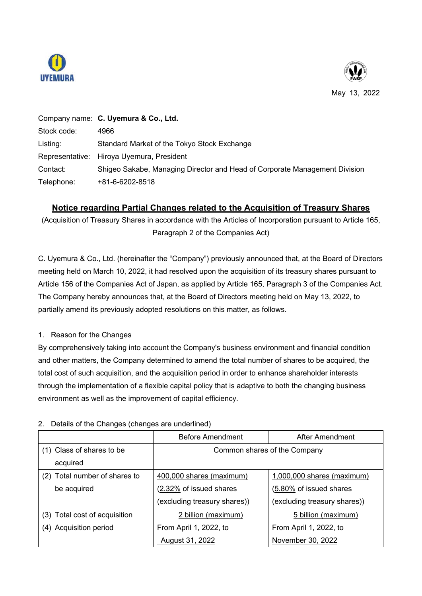



May 13, 2022

|             | Company name: C. Uyemura & Co., Ltd.                                       |
|-------------|----------------------------------------------------------------------------|
| Stock code: | 4966                                                                       |
| Listing:    | Standard Market of the Tokyo Stock Exchange                                |
|             | Representative: Hiroya Uyemura, President                                  |
| Contact:    | Shigeo Sakabe, Managing Director and Head of Corporate Management Division |
| Telephone:  | +81-6-6202-8518                                                            |

## **Notice regarding Partial Changes related to the Acquisition of Treasury Shares**

(Acquisition of Treasury Shares in accordance with the Articles of Incorporation pursuant to Article 165, Paragraph 2 of the Companies Act)

C. Uyemura & Co., Ltd. (hereinafter the "Company") previously announced that, at the Board of Directors meeting held on March 10, 2022, it had resolved upon the acquisition of its treasury shares pursuant to Article 156 of the Companies Act of Japan, as applied by Article 165, Paragraph 3 of the Companies Act. The Company hereby announces that, at the Board of Directors meeting held on May 13, 2022, to partially amend its previously adopted resolutions on this matter, as follows.

## 1. Reason for the Changes

By comprehensively taking into account the Company's business environment and financial condition and other matters, the Company determined to amend the total number of shares to be acquired, the total cost of such acquisition, and the acquisition period in order to enhance shareholder interests through the implementation of a flexible capital policy that is adaptive to both the changing business environment as well as the improvement of capital efficiency.

|                               | <b>Before Amendment</b>      | After Amendment              |
|-------------------------------|------------------------------|------------------------------|
| (1) Class of shares to be     | Common shares of the Company |                              |
| acquired                      |                              |                              |
| (2) Total number of shares to | 400,000 shares (maximum)     | 1,000,000 shares (maximum)   |
| be acquired                   | (2.32% of issued shares      | (5.80% of issued shares      |
|                               | (excluding treasury shares)) | (excluding treasury shares)) |
| (3) Total cost of acquisition | 2 billion (maximum)          | 5 billion (maximum)          |
| (4) Acquisition period        | From April 1, 2022, to       | From April 1, 2022, to       |
|                               | August 31, 2022              | November 30, 2022            |

## 2. Details of the Changes (changes are underlined)